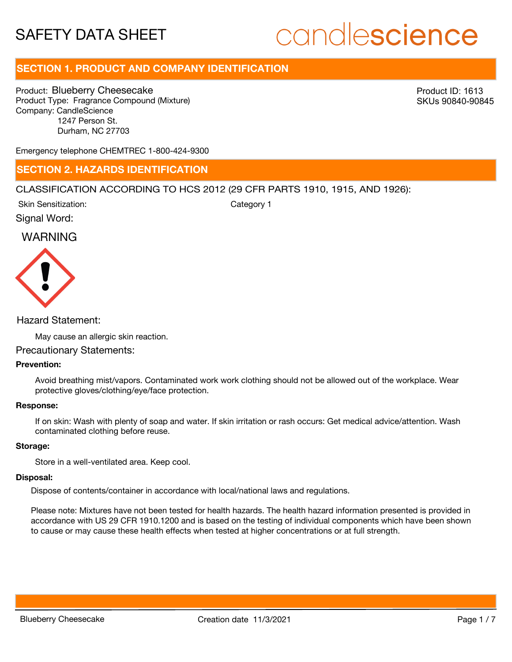# candlescience

# **SECTION 1. PRODUCT AND COMPANY IDENTIFICATION**

Product: Blueberry Cheesecake Product Type: Fragrance Compound (Mixture) Company: CandleScience 1247 Person St. Durham, NC 27703

Product ID: 1613 SKUs 90840-90845

Emergency telephone CHEMTREC 1-800-424-9300

# **SECTION 2. HAZARDS IDENTIFICATION**

### CLASSIFICATION ACCORDING TO HCS 2012 (29 CFR PARTS 1910, 1915, AND 1926):

Skin Sensitization:

Category 1

Signal Word:

# WARNING



# Hazard Statement:

May cause an allergic skin reaction.

## Precautionary Statements:

# **Prevention:**

Avoid breathing mist/vapors. Contaminated work work clothing should not be allowed out of the workplace. Wear protective gloves/clothing/eye/face protection.

#### **Response:**

If on skin: Wash with plenty of soap and water. If skin irritation or rash occurs: Get medical advice/attention. Wash contaminated clothing before reuse.

### **Storage:**

Store in a well-ventilated area. Keep cool.

#### **Disposal:**

Dispose of contents/container in accordance with local/national laws and regulations.

Please note: Mixtures have not been tested for health hazards. The health hazard information presented is provided in accordance with US 29 CFR 1910.1200 and is based on the testing of individual components which have been shown to cause or may cause these health effects when tested at higher concentrations or at full strength.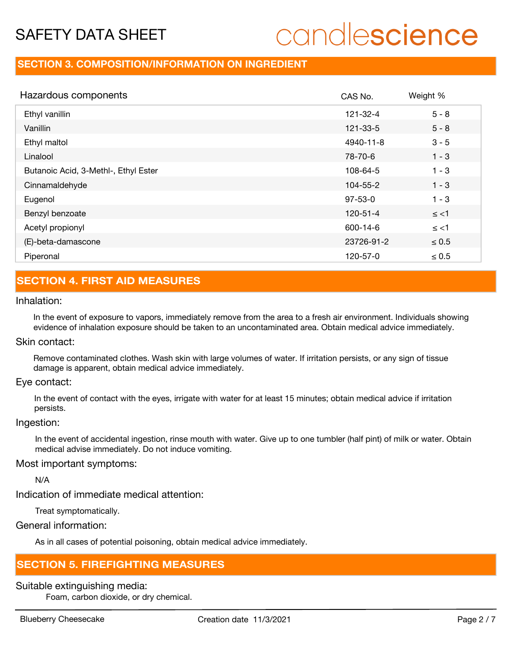# candlescience

# **SECTION 3. COMPOSITION/INFORMATION ON INGREDIENT**

| Hazardous components                 | CAS No.        | Weight %   |
|--------------------------------------|----------------|------------|
| Ethyl vanillin                       | 121-32-4       | $5 - 8$    |
| Vanillin                             | 121-33-5       | $5 - 8$    |
| Ethyl maltol                         | 4940-11-8      | $3 - 5$    |
| Linalool                             | 78-70-6        | $1 - 3$    |
| Butanoic Acid, 3-Methl-, Ethyl Ester | 108-64-5       | $1 - 3$    |
| Cinnamaldehyde                       | 104-55-2       | $1 - 3$    |
| Eugenol                              | $97 - 53 - 0$  | $1 - 3$    |
| Benzyl benzoate                      | $120 - 51 - 4$ | $\le$ <1   |
| Acetyl propionyl                     | 600-14-6       | $\le$ <1   |
| (E)-beta-damascone                   | 23726-91-2     | $\leq 0.5$ |
| Piperonal                            | 120-57-0       | $\leq 0.5$ |

# **SECTION 4. FIRST AID MEASURES**

# Inhalation:

In the event of exposure to vapors, immediately remove from the area to a fresh air environment. Individuals showing evidence of inhalation exposure should be taken to an uncontaminated area. Obtain medical advice immediately.

## Skin contact:

Remove contaminated clothes. Wash skin with large volumes of water. If irritation persists, or any sign of tissue damage is apparent, obtain medical advice immediately.

## Eye contact:

In the event of contact with the eyes, irrigate with water for at least 15 minutes; obtain medical advice if irritation persists.

#### Ingestion:

In the event of accidental ingestion, rinse mouth with water. Give up to one tumbler (half pint) of milk or water. Obtain medical advise immediately. Do not induce vomiting.

# Most important symptoms:

N/A

Indication of immediate medical attention:

Treat symptomatically.

# General information:

As in all cases of potential poisoning, obtain medical advice immediately.

# **SECTION 5. FIREFIGHTING MEASURES**

# Suitable extinguishing media:

Foam, carbon dioxide, or dry chemical.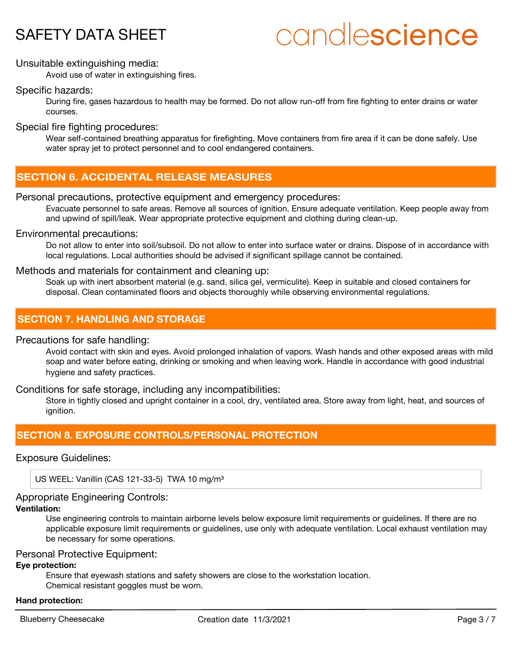# candlescience

# Unsuitable extinguishing media:

Avoid use of water in extinguishing fires.

# Specific hazards:

During fire, gases hazardous to health may be formed. Do not allow run-off from fire fighting to enter drains or water courses.

Special fire fighting procedures:

Wear self-contained breathing apparatus for firefighting. Move containers from fire area if it can be done safely. Use water spray jet to protect personnel and to cool endangered containers.

# **SECTION 6. ACCIDENTAL RELEASE MEASURES**

# Personal precautions, protective equipment and emergency procedures:

Evacuate personnel to safe areas. Remove all sources of ignition. Ensure adequate ventilation. Keep people away from and upwind of spill/leak. Wear appropriate protective equipment and clothing during clean-up.

# Environmental precautions:

Do not allow to enter into soil/subsoil. Do not allow to enter into surface water or drains. Dispose of in accordance with local regulations. Local authorities should be advised if significant spillage cannot be contained.

# Methods and materials for containment and cleaning up:

Soak up with inert absorbent material (e.g. sand, silica gel, vermiculite). Keep in suitable and closed containers for disposal. Clean contaminated floors and objects thoroughly while observing environmental regulations.

# **SECTION 7. HANDLING AND STORAGE**

Precautions for safe handling:

Avoid contact with skin and eyes. Avoid prolonged inhalation of vapors. Wash hands and other exposed areas with mild soap and water before eating, drinking or smoking and when leaving work. Handle in accordance with good industrial hygiene and safety practices.

# Conditions for safe storage, including any incompatibilities:

Store in tightly closed and upright container in a cool, dry, ventilated area. Store away from light, heat, and sources of ianition.

# **SECTION 8. EXPOSURE CONTROLS/PERSONAL PROTECTION**

### Exposure Guidelines:

US WEEL: Vanillin (CAS 121-33-5) TWA 10 mg/m<sup>3</sup>

# Appropriate Engineering Controls:

# **Ventilation:**

Use engineering controls to maintain airborne levels below exposure limit requirements or guidelines. If there are no applicable exposure limit requirements or guidelines, use only with adequate ventilation. Local exhaust ventilation may be necessary for some operations.

# Personal Protective Equipment:

# **Eye protection:**

Ensure that eyewash stations and safety showers are close to the workstation location. Chemical resistant goggles must be worn.

#### **Hand protection:**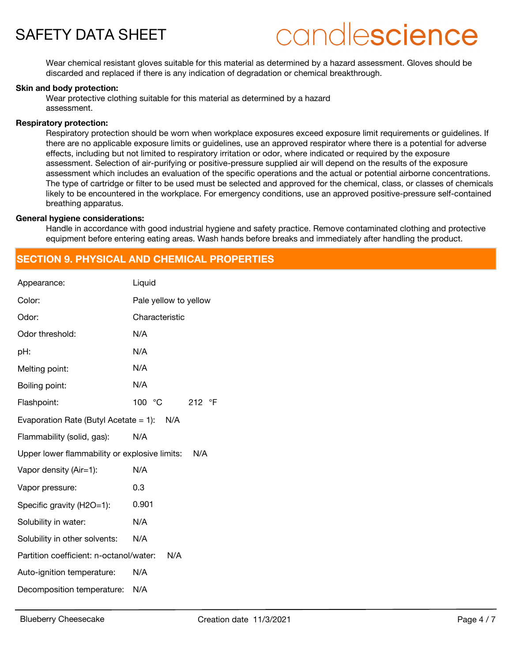

# candlescience

Wear chemical resistant gloves suitable for this material as determined by a hazard assessment. Gloves should be discarded and replaced if there is any indication of degradation or chemical breakthrough.

#### **Skin and body protection:**

Wear protective clothing suitable for this material as determined by a hazard assessment.

#### **Respiratory protection:**

Respiratory protection should be worn when workplace exposures exceed exposure limit requirements or guidelines. If there are no applicable exposure limits or guidelines, use an approved respirator where there is a potential for adverse effects, including but not limited to respiratory irritation or odor, where indicated or required by the exposure assessment. Selection of air-purifying or positive-pressure supplied air will depend on the results of the exposure assessment which includes an evaluation of the specific operations and the actual or potential airborne concentrations. The type of cartridge or filter to be used must be selected and approved for the chemical, class, or classes of chemicals likely to be encountered in the workplace. For emergency conditions, use an approved positive-pressure self-contained breathing apparatus.

#### **General hygiene considerations:**

Handle in accordance with good industrial hygiene and safety practice. Remove contaminated clothing and protective equipment before entering eating areas. Wash hands before breaks and immediately after handling the product.

# **SECTION 9. PHYSICAL AND CHEMICAL PROPERTIES**

| Appearance:                                   | Liquid                |  |
|-----------------------------------------------|-----------------------|--|
| Color:                                        | Pale yellow to yellow |  |
| Odor:                                         | Characteristic        |  |
| Odor threshold:                               | N/A                   |  |
| pH:                                           | N/A                   |  |
| Melting point:                                | N/A                   |  |
| Boiling point:                                | N/A                   |  |
| Flashpoint:                                   | 100 °C<br>212 °F      |  |
| Evaporation Rate (Butyl Acetate = 1): $N/A$   |                       |  |
| Flammability (solid, gas):                    | N/A                   |  |
| Upper lower flammability or explosive limits: | N/A                   |  |
| Vapor density (Air=1):                        | N/A                   |  |
| Vapor pressure:                               | 0.3                   |  |
| Specific gravity (H2O=1):                     | 0.901                 |  |
| Solubility in water:                          | N/A                   |  |
| Solubility in other solvents:                 | N/A                   |  |
| Partition coefficient: n-octanol/water:       | N/A                   |  |
| Auto-ignition temperature:                    | N/A                   |  |
| Decomposition temperature:                    | N/A                   |  |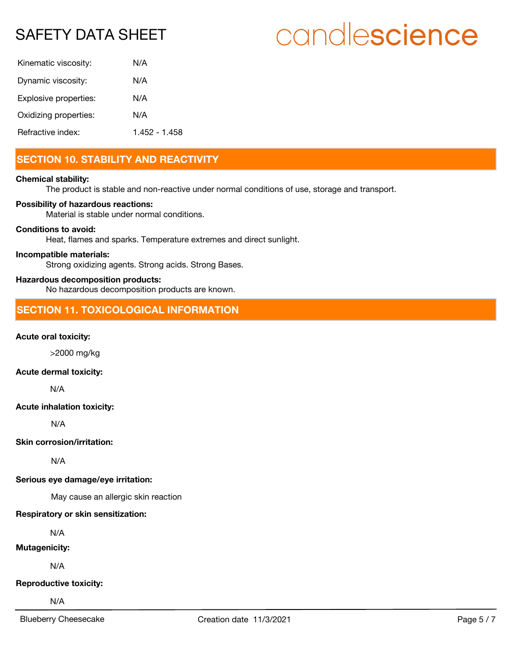# candlescience

| Kinematic viscosity:  | N/A           |
|-----------------------|---------------|
| Dynamic viscosity:    | N/A           |
| Explosive properties: | N/A           |
| Oxidizing properties: | N/A           |
| Refractive index:     | 1 452 - 1 458 |

# **SECTION 10. STABILITY AND REACTIVITY**

# **Chemical stability:**

The product is stable and non-reactive under normal conditions of use, storage and transport.

### **Possibility of hazardous reactions:**

Material is stable under normal conditions.

### **Conditions to avoid:**

Heat, flames and sparks. Temperature extremes and direct sunlight.

#### **Incompatible materials:**

Strong oxidizing agents. Strong acids. Strong Bases.

## **Hazardous decomposition products:**

No hazardous decomposition products are known.

# **SECTION 11. TOXICOLOGICAL INFORMATION**

### **Acute oral toxicity:**

>2000 mg/kg

# **Acute dermal toxicity:**

N/A

### **Acute inhalation toxicity:**

N/A

**Skin corrosion/irritation:**

N/A

### **Serious eye damage/eye irritation:**

May cause an allergic skin reaction

### **Respiratory or skin sensitization:**

N/A

# **Mutagenicity:**

N/A

### **Reproductive toxicity:**

N/A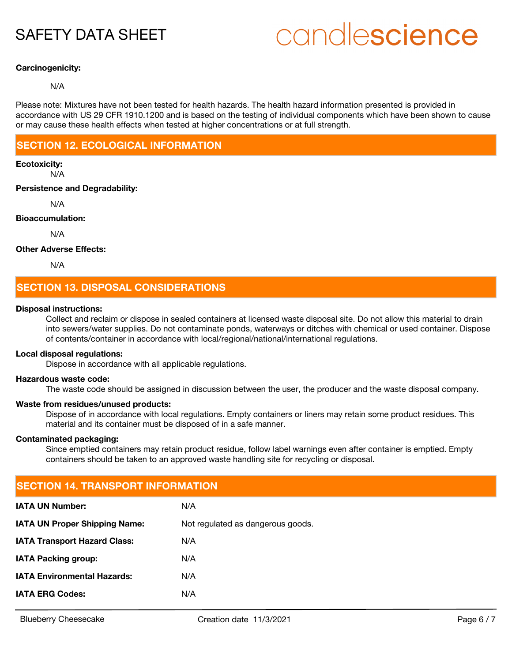# candlescience

# **Carcinogenicity:**

## N/A

Please note: Mixtures have not been tested for health hazards. The health hazard information presented is provided in accordance with US 29 CFR 1910.1200 and is based on the testing of individual components which have been shown to cause or may cause these health effects when tested at higher concentrations or at full strength.

# **SECTION 12. ECOLOGICAL INFORMATION**

# **Ecotoxicity:**

N/A

# **Persistence and Degradability:**

N/A

# **Bioaccumulation:**

N/A

# **Other Adverse Effects:**

N/A

# **SECTION 13. DISPOSAL CONSIDERATIONS**

### **Disposal instructions:**

Collect and reclaim or dispose in sealed containers at licensed waste disposal site. Do not allow this material to drain into sewers/water supplies. Do not contaminate ponds, waterways or ditches with chemical or used container. Dispose of contents/container in accordance with local/regional/national/international regulations.

### **Local disposal regulations:**

Dispose in accordance with all applicable regulations.

### **Hazardous waste code:**

The waste code should be assigned in discussion between the user, the producer and the waste disposal company.

### **Waste from residues/unused products:**

Dispose of in accordance with local regulations. Empty containers or liners may retain some product residues. This material and its container must be disposed of in a safe manner.

### **Contaminated packaging:**

Since emptied containers may retain product residue, follow label warnings even after container is emptied. Empty containers should be taken to an approved waste handling site for recycling or disposal.

| <b>SECTION 14. TRANSPORT INFORMATION</b> |  |  |  |
|------------------------------------------|--|--|--|
| N/A                                      |  |  |  |
| Not regulated as dangerous goods.        |  |  |  |
| N/A                                      |  |  |  |
| N/A                                      |  |  |  |
| N/A                                      |  |  |  |
| N/A                                      |  |  |  |
|                                          |  |  |  |